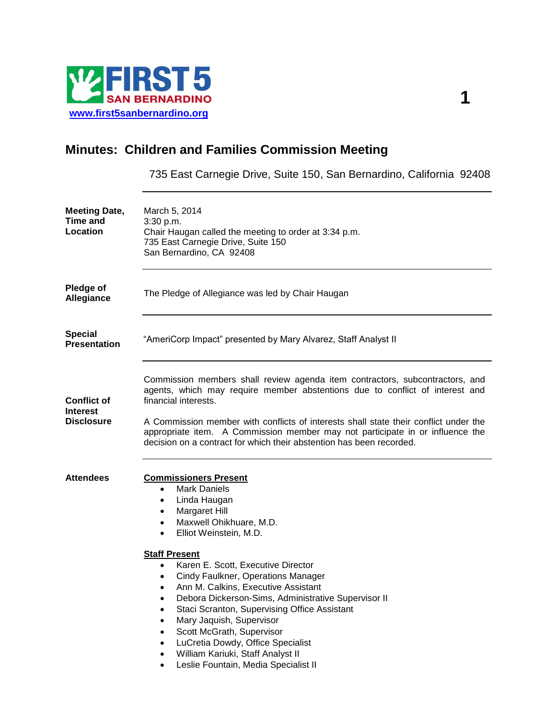

# **Minutes: Children and Families Commission Meeting**

735 East Carnegie Drive, Suite 150, San Bernardino, California 92408

| <b>Meeting Date,</b><br><b>Time and</b><br><b>Location</b> | March 5, 2014<br>3:30 p.m.<br>Chair Haugan called the meeting to order at 3:34 p.m.<br>735 East Carnegie Drive, Suite 150<br>San Bernardino, CA 92408                                                                                                                                                                                                                                                                                                                                                                                                                                                                                                                                            |
|------------------------------------------------------------|--------------------------------------------------------------------------------------------------------------------------------------------------------------------------------------------------------------------------------------------------------------------------------------------------------------------------------------------------------------------------------------------------------------------------------------------------------------------------------------------------------------------------------------------------------------------------------------------------------------------------------------------------------------------------------------------------|
| <b>Pledge of</b><br><b>Allegiance</b>                      | The Pledge of Allegiance was led by Chair Haugan                                                                                                                                                                                                                                                                                                                                                                                                                                                                                                                                                                                                                                                 |
| <b>Special</b><br><b>Presentation</b>                      | "AmeriCorp Impact" presented by Mary Alvarez, Staff Analyst II                                                                                                                                                                                                                                                                                                                                                                                                                                                                                                                                                                                                                                   |
| <b>Conflict of</b><br>Interest<br><b>Disclosure</b>        | Commission members shall review agenda item contractors, subcontractors, and<br>agents, which may require member abstentions due to conflict of interest and<br>financial interests.<br>A Commission member with conflicts of interests shall state their conflict under the<br>appropriate item. A Commission member may not participate in or influence the<br>decision on a contract for which their abstention has been recorded.                                                                                                                                                                                                                                                            |
| <b>Attendees</b>                                           | <b>Commissioners Present</b><br><b>Mark Daniels</b><br>$\bullet$<br>Linda Haugan<br>٠<br>Margaret Hill<br>$\bullet$<br>Maxwell Ohikhuare, M.D.<br>$\bullet$<br>Elliot Weinstein, M.D.<br>$\bullet$<br><b>Staff Present</b><br>Karen E. Scott, Executive Director<br>$\bullet$<br>Cindy Faulkner, Operations Manager<br>$\bullet$<br>Ann M. Calkins, Executive Assistant<br>Debora Dickerson-Sims, Administrative Supervisor II<br>Staci Scranton, Supervising Office Assistant<br>Mary Jaquish, Supervisor<br>Scott McGrath, Supervisor<br>LuCretia Dowdy, Office Specialist<br>$\bullet$<br>William Kariuki, Staff Analyst II<br>$\bullet$<br>Leslie Fountain, Media Specialist II<br>$\bullet$ |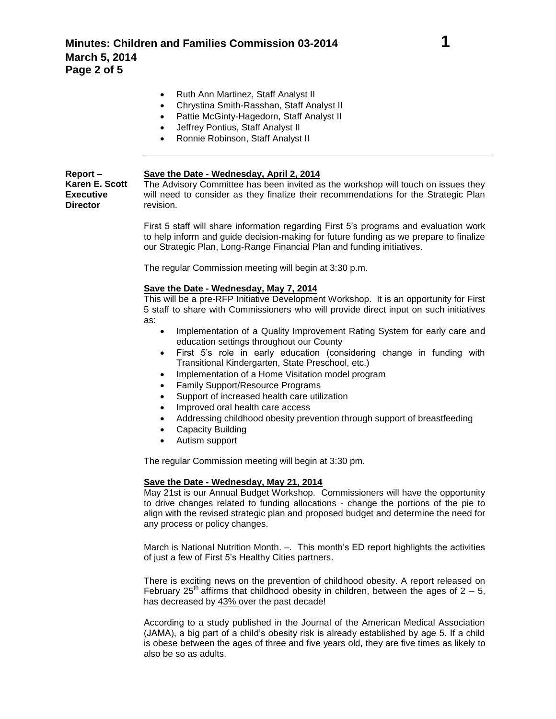- Ruth Ann Martinez, Staff Analyst II
- Chrystina Smith-Rasshan, Staff Analyst II
- Pattie McGinty-Hagedorn, Staff Analyst II
- Jeffrey Pontius, Staff Analyst II
- Ronnie Robinson, Staff Analyst II

| $Report -$       | Save the Date - Wednesday, April 2, 2014                                            |
|------------------|-------------------------------------------------------------------------------------|
| Karen E. Scott   | The Advisory Committee has been invited as the workshop will touch on issues they   |
| <b>Executive</b> | will need to consider as they finalize their recommendations for the Strategic Plan |
| <b>Director</b>  | revision.                                                                           |

First 5 staff will share information regarding First 5's programs and evaluation work to help inform and guide decision-making for future funding as we prepare to finalize our Strategic Plan, Long-Range Financial Plan and funding initiatives.

The regular Commission meeting will begin at 3:30 p.m.

### **Save the Date - Wednesday, May 7, 2014**

This will be a pre-RFP Initiative Development Workshop. It is an opportunity for First 5 staff to share with Commissioners who will provide direct input on such initiatives as:

- Implementation of a Quality Improvement Rating System for early care and education settings throughout our County
- First 5's role in early education (considering change in funding with Transitional Kindergarten, State Preschool, etc.)
- Implementation of a Home Visitation model program
- Family Support/Resource Programs
- Support of increased health care utilization
- Improved oral health care access
- Addressing childhood obesity prevention through support of breastfeeding
- Capacity Building
- Autism support

The regular Commission meeting will begin at 3:30 pm.

#### **Save the Date - Wednesday, May 21, 2014**

May 21st is our Annual Budget Workshop. Commissioners will have the opportunity to drive changes related to funding allocations - change the portions of the pie to align with the revised strategic plan and proposed budget and determine the need for any process or policy changes.

March is National Nutrition Month. -. This month's ED report highlights the activities of just a few of First 5's Healthy Cities partners.

There is exciting news on the prevention of childhood obesity. A report released on February 25<sup>th</sup> affirms that childhood obesity in children, between the ages of  $2 - 5$ , has decreased by 43% over the past decade!

According to a study published in the Journal of the American Medical Association (JAMA), a big part of a child's obesity risk is already established by age 5. If a child is obese between the ages of three and five years old, they are five times as likely to also be so as adults.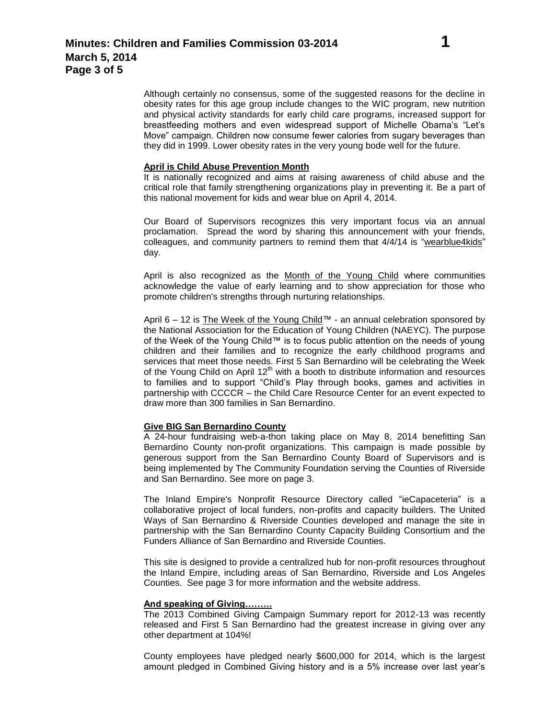Although certainly no consensus, some of the suggested reasons for the decline in obesity rates for this age group include changes to the WIC program, new nutrition and physical activity standards for early child care programs, increased support for breastfeeding mothers and even widespread support of Michelle Obama's "Let's Move" campaign. Children now consume fewer calories from sugary beverages than they did in 1999. Lower obesity rates in the very young bode well for the future.

### **April is Child Abuse Prevention Month**

It is nationally recognized and aims at raising awareness of child abuse and the critical role that family strengthening organizations play in preventing it. Be a part of this national movement for kids and wear blue on April 4, 2014.

Our Board of Supervisors recognizes this very important focus via an annual proclamation. Spread the word by sharing this announcement with your friends, colleagues, and community partners to remind them that 4/4/14 is "wearblue4kids" day.

April is also recognized as the Month of the Young Child where communities acknowledge the value of early learning and to show appreciation for those who promote children's strengths through nurturing relationships.

April 6 – 12 is The Week of the Young Child™ - an annual celebration sponsored by the National Association for the Education of Young Children (NAEYC). The purpose of the Week of the Young Child™ is to focus public attention on the needs of young children and their families and to recognize the early childhood programs and services that meet those needs. First 5 San Bernardino will be celebrating the Week of the Young Child on April  $12<sup>th</sup>$  with a booth to distribute information and resources to families and to support "Child's Play through books, games and activities in partnership with CCCCR – the Child Care Resource Center for an event expected to draw more than 300 families in San Bernardino.

### **Give BIG San Bernardino County**

A 24-hour fundraising web-a-thon taking place on May 8, 2014 benefitting San Bernardino County non-profit organizations. This campaign is made possible by generous support from the San Bernardino County Board of Supervisors and is being implemented by The Community Foundation serving the Counties of Riverside and San Bernardino. See more on page 3.

The Inland Empire's Nonprofit Resource Directory called "ieCapaceteria" is a collaborative project of local funders, non-profits and capacity builders. The United Ways of San Bernardino & Riverside Counties developed and manage the site in partnership with the San Bernardino County Capacity Building Consortium and the Funders Alliance of San Bernardino and Riverside Counties.

This site is designed to provide a centralized hub for non-profit resources throughout the Inland Empire, including areas of San Bernardino, Riverside and Los Angeles Counties. See page 3 for more information and the website address.

### **And speaking of Giving………**

The 2013 Combined Giving Campaign Summary report for 2012-13 was recently released and First 5 San Bernardino had the greatest increase in giving over any other department at 104%!

County employees have pledged nearly \$600,000 for 2014, which is the largest amount pledged in Combined Giving history and is a 5% increase over last year's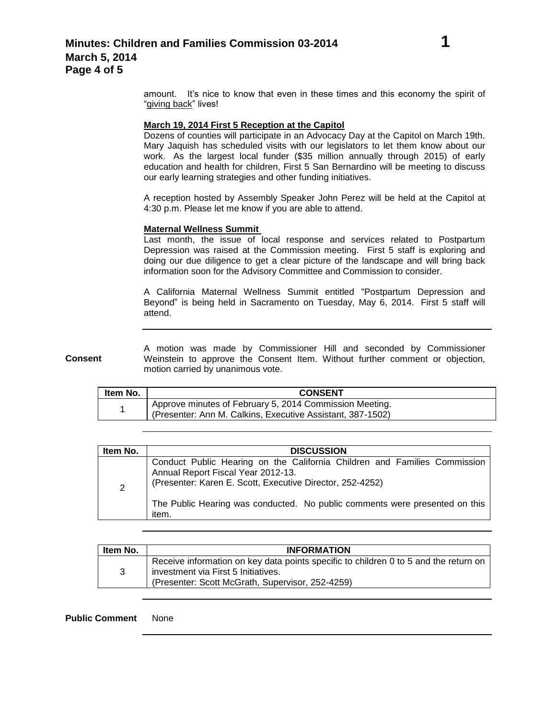amount. It's nice to know that even in these times and this economy the spirit of "giving back" lives!

## **March 19, 2014 First 5 Reception at the Capitol**

Dozens of counties will participate in an Advocacy Day at the Capitol on March 19th. Mary Jaquish has scheduled visits with our legislators to let them know about our work. As the largest local funder (\$35 million annually through 2015) of early education and health for children, First 5 San Bernardino will be meeting to discuss our early learning strategies and other funding initiatives.

A reception hosted by Assembly Speaker John Perez will be held at the Capitol at 4:30 p.m. Please let me know if you are able to attend.

### **Maternal Wellness Summit**

Last month, the issue of local response and services related to Postpartum Depression was raised at the Commission meeting. First 5 staff is exploring and doing our due diligence to get a clear picture of the landscape and will bring back information soon for the Advisory Committee and Commission to consider.

A California Maternal Wellness Summit entitled "Postpartum Depression and Beyond" is being held in Sacramento on Tuesday, May 6, 2014. First 5 staff will attend.

**Consent** A motion was made by Commissioner Hill and seconded by Commissioner Weinstein to approve the Consent Item. Without further comment or objection, motion carried by unanimous vote.

| Item No. | <b>CONSENT</b>                                                                                                                     |
|----------|------------------------------------------------------------------------------------------------------------------------------------|
|          | <sup>1</sup> Approve minutes of February 5, 2014 Commission Meeting.<br>(Presenter: Ann M. Calkins, Executive Assistant, 387-1502) |

| Annual Report Fiscal Year 2012-13.<br>(Presenter: Karen E. Scott, Executive Director, 252-4252)<br>$\overline{2}$ | Item No. | <b>DISCUSSION</b>                                                                                                                                        |
|-------------------------------------------------------------------------------------------------------------------|----------|----------------------------------------------------------------------------------------------------------------------------------------------------------|
| item.                                                                                                             |          | Conduct Public Hearing on the California Children and Families Commission<br>The Public Hearing was conducted. No public comments were presented on this |

| ltem No. | <b>INFORMATION</b>                                                                                                                                                              |
|----------|---------------------------------------------------------------------------------------------------------------------------------------------------------------------------------|
| 3        | Receive information on key data points specific to children 0 to 5 and the return on<br>investment via First 5 Initiatives.<br>(Presenter: Scott McGrath, Supervisor, 252-4259) |

**Public Comment** None